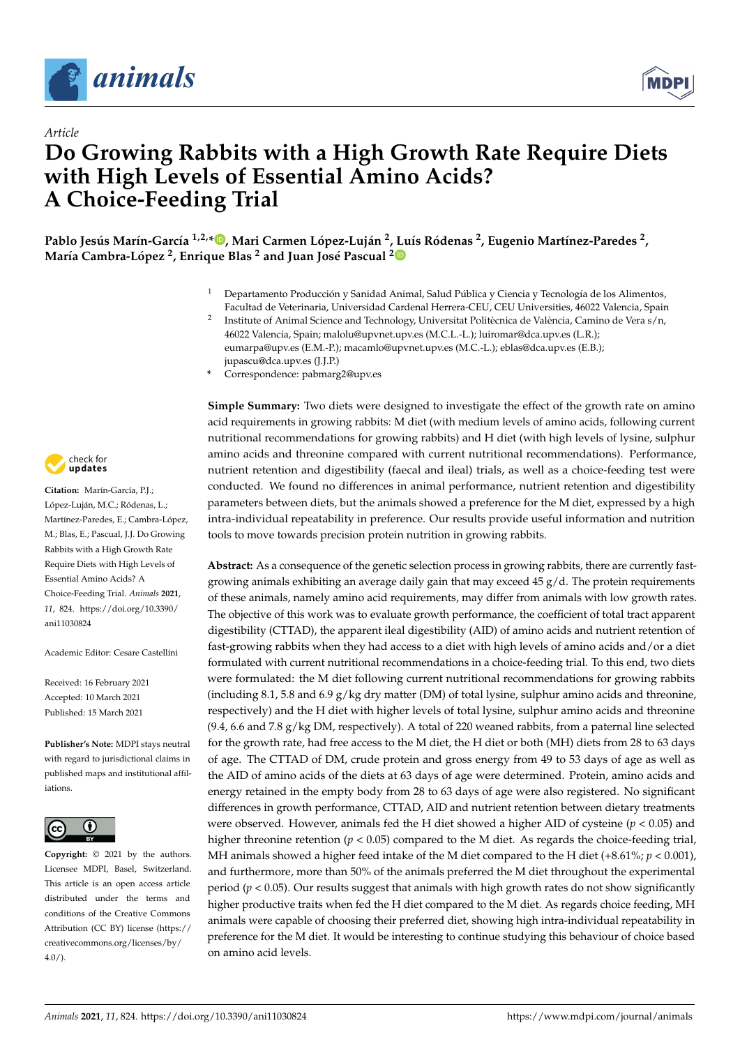



# *Article* **Do Growing Rabbits with a High Growth Rate Require Diets with High Levels of Essential Amino Acids? A Choice-Feeding Trial**

, Pablo Jesús Marín-García <sup>1,2,</sup>[\\*](https://orcid.org/0000-0001-9593-3476)®, Mari Carmen López-Luján <sup>2</sup>, Luís Ródenas <sup>2</sup>, Eugenio Martínez-Paredes <sup>2</sup> **María Cambra-López <sup>2</sup> , Enrique Blas <sup>2</sup> and Juan José Pascual [2](https://orcid.org/0000-0002-7224-9978)**

> <sup>1</sup> Departamento Producción y Sanidad Animal, Salud Pública y Ciencia y Tecnología de los Alimentos, Facultad de Veterinaria, Universidad Cardenal Herrera-CEU, CEU Universities, 46022 Valencia, Spain

jupascu@dca.upv.es (J.J.P.) **\*** Correspondence: pabmarg2@upv.es



**Simple Summary:** Two diets were designed to investigate the effect of the growth rate on amino acid requirements in growing rabbits: M diet (with medium levels of amino acids, following current nutritional recommendations for growing rabbits) and H diet (with high levels of lysine, sulphur amino acids and threonine compared with current nutritional recommendations). Performance, nutrient retention and digestibility (faecal and ileal) trials, as well as a choice-feeding test were conducted. We found no differences in animal performance, nutrient retention and digestibility parameters between diets, but the animals showed a preference for the M diet, expressed by a high intra-individual repeatability in preference. Our results provide useful information and nutrition tools to move towards precision protein nutrition in growing rabbits.

**Abstract:** As a consequence of the genetic selection process in growing rabbits, there are currently fastgrowing animals exhibiting an average daily gain that may exceed  $45 g/d$ . The protein requirements of these animals, namely amino acid requirements, may differ from animals with low growth rates. The objective of this work was to evaluate growth performance, the coefficient of total tract apparent digestibility (CTTAD), the apparent ileal digestibility (AID) of amino acids and nutrient retention of fast-growing rabbits when they had access to a diet with high levels of amino acids and/or a diet formulated with current nutritional recommendations in a choice-feeding trial. To this end, two diets were formulated: the M diet following current nutritional recommendations for growing rabbits (including 8.1, 5.8 and 6.9  $g/kg$  dry matter (DM) of total lysine, sulphur amino acids and threonine, respectively) and the H diet with higher levels of total lysine, sulphur amino acids and threonine (9.4, 6.6 and 7.8 g/kg DM, respectively). A total of 220 weaned rabbits, from a paternal line selected for the growth rate, had free access to the M diet, the H diet or both (MH) diets from 28 to 63 days of age. The CTTAD of DM, crude protein and gross energy from 49 to 53 days of age as well as the AID of amino acids of the diets at 63 days of age were determined. Protein, amino acids and energy retained in the empty body from 28 to 63 days of age were also registered. No significant differences in growth performance, CTTAD, AID and nutrient retention between dietary treatments were observed. However, animals fed the H diet showed a higher AID of cysteine  $(p < 0.05)$  and higher threonine retention ( $p < 0.05$ ) compared to the M diet. As regards the choice-feeding trial, MH animals showed a higher feed intake of the M diet compared to the H diet (+8.61%; *p* < 0.001), and furthermore, more than 50% of the animals preferred the M diet throughout the experimental period ( $p < 0.05$ ). Our results suggest that animals with high growth rates do not show significantly higher productive traits when fed the H diet compared to the M diet. As regards choice feeding, MH animals were capable of choosing their preferred diet, showing high intra-individual repeatability in preference for the M diet. It would be interesting to continue studying this behaviour of choice based on amino acid levels.



**Citation:** Marín-García, P.J.; López-Luján, M.C.; Ródenas, L.; Martínez-Paredes, E.; Cambra-López, M.; Blas, E.; Pascual, J.J. Do Growing Rabbits with a High Growth Rate Require Diets with High Levels of Essential Amino Acids? A Choice-Feeding Trial. *Animals* **2021**, *11*, 824. [https://doi.org/10.3390/](https://doi.org/10.3390/ani11030824) [ani11030824](https://doi.org/10.3390/ani11030824)

Academic Editor: Cesare Castellini

Received: 16 February 2021 Accepted: 10 March 2021 Published: 15 March 2021

**Publisher's Note:** MDPI stays neutral with regard to jurisdictional claims in published maps and institutional affiliations.



**Copyright:** © 2021 by the authors. Licensee MDPI, Basel, Switzerland. This article is an open access article distributed under the terms and conditions of the Creative Commons Attribution (CC BY) license (https:/[/](https://creativecommons.org/licenses/by/4.0/) [creativecommons.org/licenses/by/](https://creativecommons.org/licenses/by/4.0/)  $4.0/$ ).

<sup>2</sup> Institute of Animal Science and Technology, Universitat Politècnica de València, Camino de Vera s/n, 46022 Valencia, Spain; malolu@upvnet.upv.es (M.C.L.-L.); luiromar@dca.upv.es (L.R.); eumarpa@upv.es (E.M.-P.); macamlo@upvnet.upv.es (M.C.-L.); eblas@dca.upv.es (E.B.);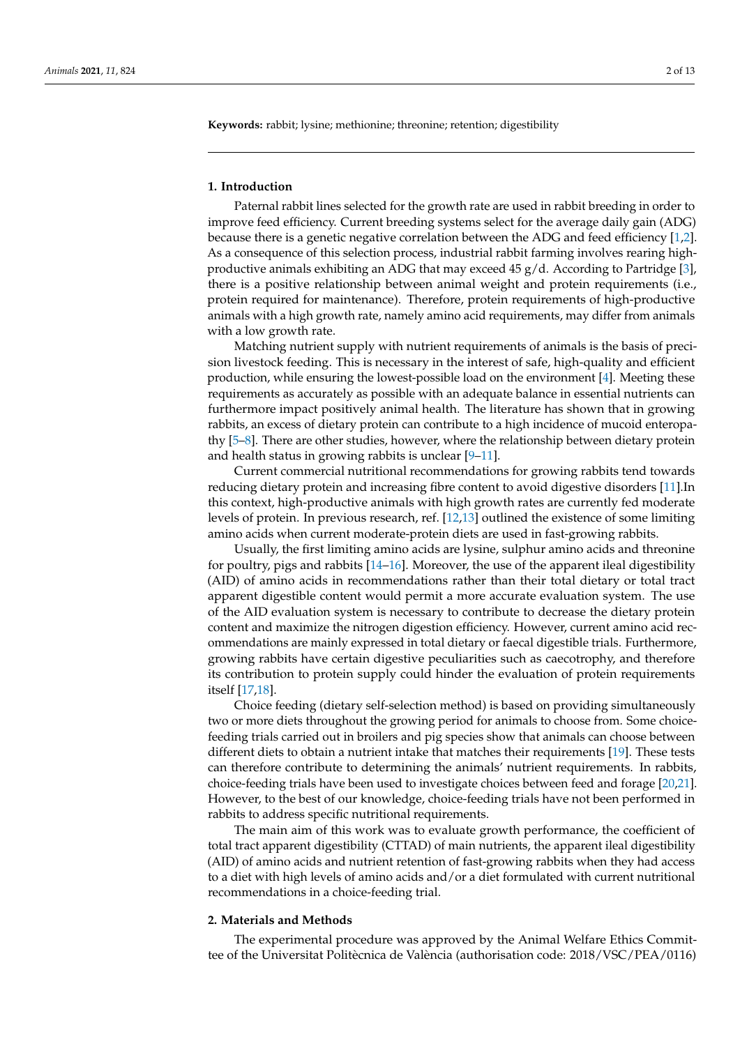**Keywords:** rabbit; lysine; methionine; threonine; retention; digestibility

#### **1. Introduction**

Paternal rabbit lines selected for the growth rate are used in rabbit breeding in order to improve feed efficiency. Current breeding systems select for the average daily gain (ADG) because there is a genetic negative correlation between the ADG and feed efficiency [\[1,](#page-10-0)[2\]](#page-10-1). As a consequence of this selection process, industrial rabbit farming involves rearing highproductive animals exhibiting an ADG that may exceed 45 g/d. According to Partridge [\[3\]](#page-10-2), there is a positive relationship between animal weight and protein requirements (i.e., protein required for maintenance). Therefore, protein requirements of high-productive animals with a high growth rate, namely amino acid requirements, may differ from animals with a low growth rate.

Matching nutrient supply with nutrient requirements of animals is the basis of precision livestock feeding. This is necessary in the interest of safe, high-quality and efficient production, while ensuring the lowest-possible load on the environment [\[4\]](#page-10-3). Meeting these requirements as accurately as possible with an adequate balance in essential nutrients can furthermore impact positively animal health. The literature has shown that in growing rabbits, an excess of dietary protein can contribute to a high incidence of mucoid enteropathy [\[5](#page-10-4)[–8\]](#page-10-5). There are other studies, however, where the relationship between dietary protein and health status in growing rabbits is unclear [\[9–](#page-10-6)[11\]](#page-10-7).

Current commercial nutritional recommendations for growing rabbits tend towards reducing dietary protein and increasing fibre content to avoid digestive disorders [\[11\]](#page-10-7).In this context, high-productive animals with high growth rates are currently fed moderate levels of protein. In previous research, ref. [\[12](#page-10-8)[,13\]](#page-10-9) outlined the existence of some limiting amino acids when current moderate-protein diets are used in fast-growing rabbits.

Usually, the first limiting amino acids are lysine, sulphur amino acids and threonine for poultry, pigs and rabbits  $[14–16]$  $[14–16]$ . Moreover, the use of the apparent ileal digestibility (AID) of amino acids in recommendations rather than their total dietary or total tract apparent digestible content would permit a more accurate evaluation system. The use of the AID evaluation system is necessary to contribute to decrease the dietary protein content and maximize the nitrogen digestion efficiency. However, current amino acid recommendations are mainly expressed in total dietary or faecal digestible trials. Furthermore, growing rabbits have certain digestive peculiarities such as caecotrophy, and therefore its contribution to protein supply could hinder the evaluation of protein requirements itself [\[17](#page-10-12)[,18\]](#page-10-13).

Choice feeding (dietary self-selection method) is based on providing simultaneously two or more diets throughout the growing period for animals to choose from. Some choicefeeding trials carried out in broilers and pig species show that animals can choose between different diets to obtain a nutrient intake that matches their requirements [\[19\]](#page-10-14). These tests can therefore contribute to determining the animals' nutrient requirements. In rabbits, choice-feeding trials have been used to investigate choices between feed and forage [\[20](#page-11-0)[,21\]](#page-11-1). However, to the best of our knowledge, choice-feeding trials have not been performed in rabbits to address specific nutritional requirements.

The main aim of this work was to evaluate growth performance, the coefficient of total tract apparent digestibility (CTTAD) of main nutrients, the apparent ileal digestibility (AID) of amino acids and nutrient retention of fast-growing rabbits when they had access to a diet with high levels of amino acids and/or a diet formulated with current nutritional recommendations in a choice-feeding trial.

# **2. Materials and Methods**

The experimental procedure was approved by the Animal Welfare Ethics Committee of the Universitat Politècnica de València (authorisation code: 2018/VSC/PEA/0116)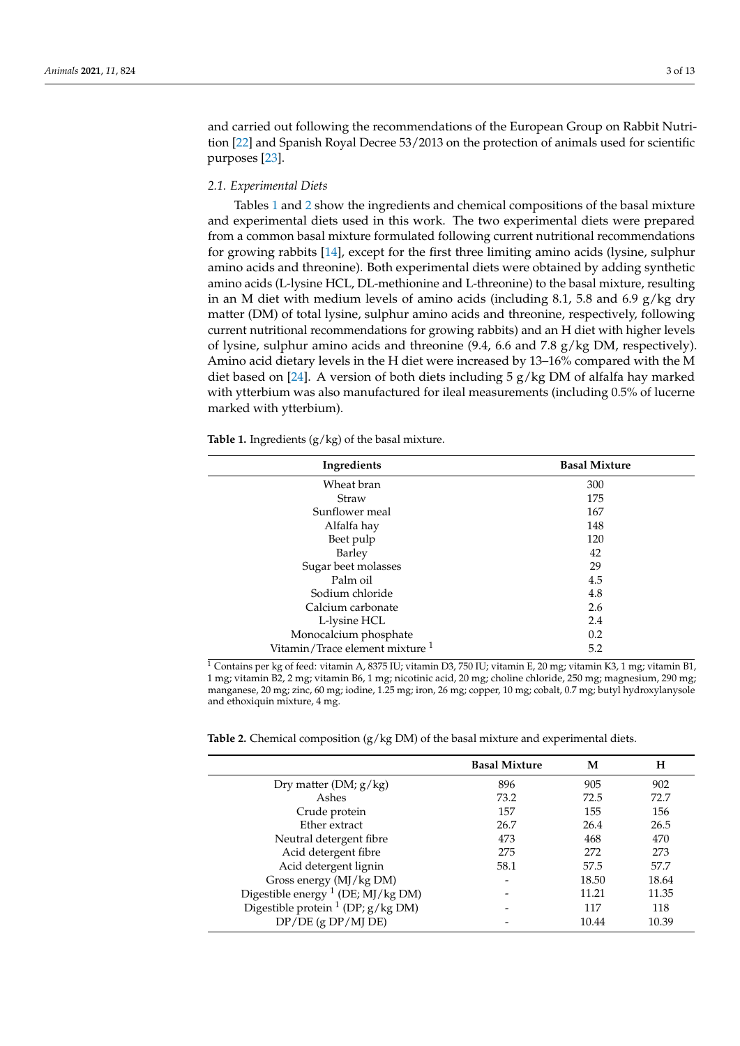and carried out following the recommendations of the European Group on Rabbit Nutrition [\[22\]](#page-11-2) and Spanish Royal Decree 53/2013 on the protection of animals used for scientific purposes [\[23\]](#page-11-3).

#### *2.1. Experimental Diets*

Tables [1](#page-2-0) and [2](#page-2-1) show the ingredients and chemical compositions of the basal mixture and experimental diets used in this work. The two experimental diets were prepared from a common basal mixture formulated following current nutritional recommendations for growing rabbits [\[14\]](#page-10-10), except for the first three limiting amino acids (lysine, sulphur amino acids and threonine). Both experimental diets were obtained by adding synthetic amino acids (L-lysine HCL, DL-methionine and L-threonine) to the basal mixture, resulting in an M diet with medium levels of amino acids (including 8.1, 5.8 and 6.9  $g/kg$  dry matter (DM) of total lysine, sulphur amino acids and threonine, respectively, following current nutritional recommendations for growing rabbits) and an H diet with higher levels of lysine, sulphur amino acids and threonine (9.4, 6.6 and 7.8 g/kg DM, respectively). Amino acid dietary levels in the H diet were increased by 13–16% compared with the M diet based on [\[24\]](#page-11-4). A version of both diets including  $5 g/kg DM$  of alfalfa hay marked with ytterbium was also manufactured for ileal measurements (including 0.5% of lucerne marked with ytterbium).

<span id="page-2-0"></span>**Table 1.** Ingredients (g/kg) of the basal mixture.

| Ingredients                                | <b>Basal Mixture</b> |
|--------------------------------------------|----------------------|
| Wheat bran                                 | 300                  |
| Straw                                      | 175                  |
| Sunflower meal                             | 167                  |
| Alfalfa hay                                | 148                  |
| Beet pulp                                  | 120                  |
| Barley                                     | 42                   |
| Sugar beet molasses                        | 29                   |
| Palm oil                                   | 4.5                  |
| Sodium chloride                            | 4.8                  |
| Calcium carbonate                          | 2.6                  |
| L-lysine HCL                               | 2.4                  |
| Monocalcium phosphate                      | 0.2                  |
| Vitamin/Trace element mixture <sup>1</sup> | 5.2                  |

<sup>1</sup> Contains per kg of feed: vitamin A, 8375 IU; vitamin D3, 750 IU; vitamin E, 20 mg; vitamin K3, 1 mg; vitamin B1, 1 mg; vitamin B2, 2 mg; vitamin B6, 1 mg; nicotinic acid, 20 mg; choline chloride, 250 mg; magnesium, 290 mg; manganese, 20 mg; zinc, 60 mg; iodine, 1.25 mg; iron, 26 mg; copper, 10 mg; cobalt, 0.7 mg; butyl hydroxylanysole and ethoxiquin mixture, 4 mg.

<span id="page-2-1"></span>

| <b>Table 2.</b> Chemical composition $(g/kg DM)$ of the basal mixture and experimental diets. |
|-----------------------------------------------------------------------------------------------|
|-----------------------------------------------------------------------------------------------|

|                                               | <b>Basal Mixture</b> | M     | н     |
|-----------------------------------------------|----------------------|-------|-------|
| Dry matter (DM; $g/kg$ )                      | 896                  | 905   | 902   |
| Ashes                                         | 73.2                 | 72.5  | 72.7  |
| Crude protein                                 | 157                  | 155   | 156   |
| Ether extract                                 | 26.7                 | 26.4  | 26.5  |
| Neutral detergent fibre                       | 473                  | 468   | 470   |
| Acid detergent fibre                          | 275                  | 272   | 273   |
| Acid detergent lignin                         | 58.1                 | 57.5  | 57.7  |
| Gross energy (MJ/kg DM)                       |                      | 18.50 | 18.64 |
| Digestible energy <sup>1</sup> (DE; MJ/kg DM) |                      | 11.21 | 11.35 |
| Digestible protein $1$ (DP; $g/kg$ DM)        |                      | 117   | 118   |
| $DP/DE$ (g $DP/MJ$ DE)                        |                      | 10.44 | 10.39 |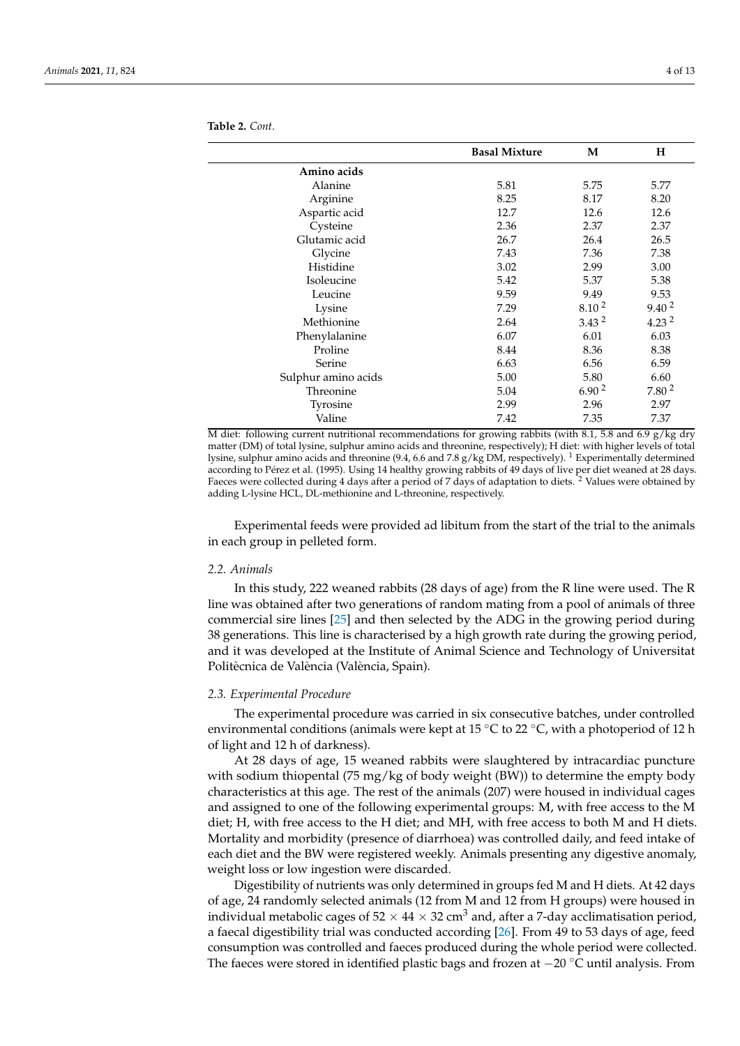|                     | <b>Basal Mixture</b> | M                 | н                 |
|---------------------|----------------------|-------------------|-------------------|
| Amino acids         |                      |                   |                   |
| Alanine             | 5.81                 | 5.75              | 5.77              |
| Arginine            | 8.25                 | 8.17              | 8.20              |
| Aspartic acid       | 12.7                 | 12.6              | 12.6              |
| Cysteine            | 2.36                 | 2.37              | 2.37              |
| Glutamic acid       | 26.7                 | 26.4              | 26.5              |
| Glycine             | 7.43                 | 7.36              | 7.38              |
| Histidine           | 3.02                 | 2.99              | 3.00              |
| Isoleucine          | 5.42                 | 5.37              | 5.38              |
| Leucine             | 9.59                 | 9.49              | 9.53              |
| Lysine              | 7.29                 | 8.10 <sup>2</sup> | 9.40 <sup>2</sup> |
| Methionine          | 2.64                 | 3.43 <sup>2</sup> | 4.23 <sup>2</sup> |
| Phenylalanine       | 6.07                 | 6.01              | 6.03              |
| Proline             | 8.44                 | 8.36              | 8.38              |
| Serine              | 6.63                 | 6.56              | 6.59              |
| Sulphur amino acids | 5.00                 | 5.80              | 6.60              |
| Threonine           | 5.04                 | 6.90 <sup>2</sup> | 7.80 <sup>2</sup> |
| Tyrosine            | 2.99                 | 2.96              | 2.97              |
| Valine              | 7.42                 | 7.35              | 7.37              |

**Table 2.** *Cont.*

M diet: following current nutritional recommendations for growing rabbits (with 8.1, 5.8 and 6.9 g/kg dry matter (DM) of total lysine, sulphur amino acids and threonine, respectively); H diet: with higher levels of total lysine, sulphur amino acids and threonine (9.4, 6.6 and 7.8 g/kg DM, respectively). <sup>1</sup> Experimentally determined according to Pérez et al. (1995). Using 14 healthy growing rabbits of 49 days of live per diet weaned at 28 days. Faeces were collected during 4 days after a period of 7 days of adaptation to diets.<sup>2</sup> Values were obtained by adding L-lysine HCL, DL-methionine and L-threonine, respectively.

Experimental feeds were provided ad libitum from the start of the trial to the animals in each group in pelleted form.

#### *2.2. Animals*

In this study, 222 weaned rabbits (28 days of age) from the R line were used. The R line was obtained after two generations of random mating from a pool of animals of three commercial sire lines [\[25\]](#page-11-5) and then selected by the ADG in the growing period during 38 generations. This line is characterised by a high growth rate during the growing period, and it was developed at the Institute of Animal Science and Technology of Universitat Politècnica de València (València, Spain).

#### *2.3. Experimental Procedure*

The experimental procedure was carried in six consecutive batches, under controlled environmental conditions (animals were kept at 15  $\mathrm{^{\circ}C}$  to 22  $\mathrm{^{\circ}C}$ , with a photoperiod of 12 h of light and 12 h of darkness).

At 28 days of age, 15 weaned rabbits were slaughtered by intracardiac puncture with sodium thiopental (75 mg/kg of body weight (BW)) to determine the empty body characteristics at this age. The rest of the animals (207) were housed in individual cages and assigned to one of the following experimental groups: M, with free access to the M diet; H, with free access to the H diet; and MH, with free access to both M and H diets. Mortality and morbidity (presence of diarrhoea) was controlled daily, and feed intake of each diet and the BW were registered weekly. Animals presenting any digestive anomaly, weight loss or low ingestion were discarded.

Digestibility of nutrients was only determined in groups fed M and H diets. At 42 days of age, 24 randomly selected animals (12 from M and 12 from H groups) were housed in individual metabolic cages of  $52 \times 44 \times 32$  cm<sup>3</sup> and, after a 7-day acclimatisation period, a faecal digestibility trial was conducted according [\[26\]](#page-11-6). From 49 to 53 days of age, feed consumption was controlled and faeces produced during the whole period were collected. The faeces were stored in identified plastic bags and frozen at −20 ◦C until analysis. From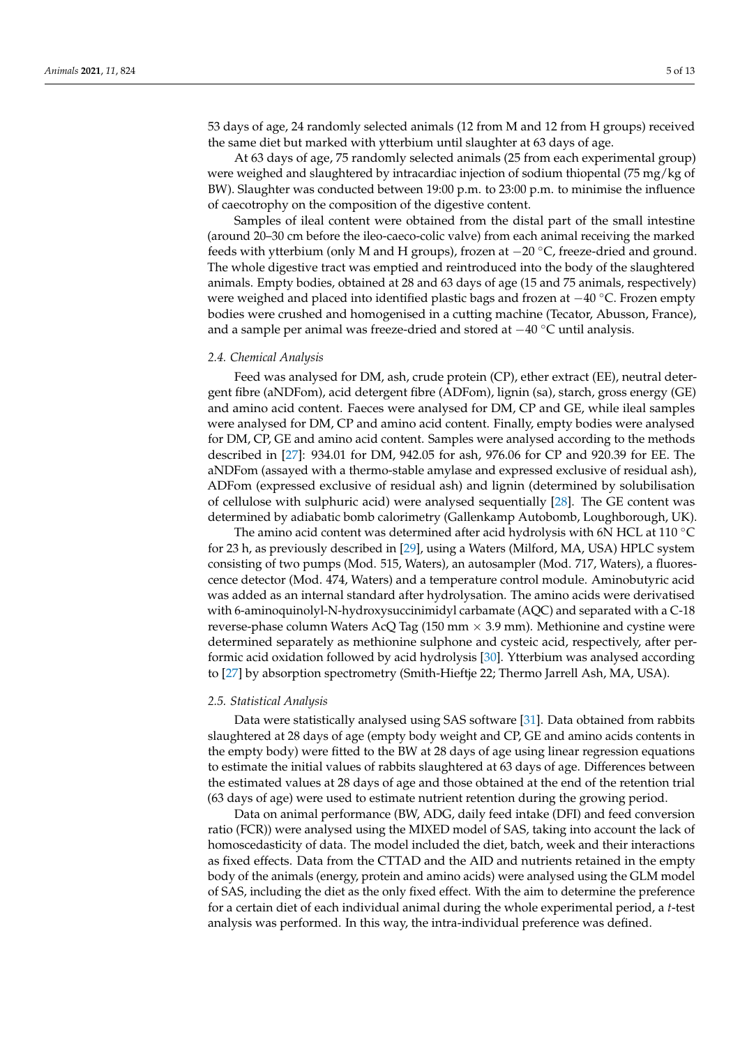53 days of age, 24 randomly selected animals (12 from M and 12 from H groups) received the same diet but marked with ytterbium until slaughter at 63 days of age.

At 63 days of age, 75 randomly selected animals (25 from each experimental group) were weighed and slaughtered by intracardiac injection of sodium thiopental (75 mg/kg of BW). Slaughter was conducted between 19:00 p.m. to 23:00 p.m. to minimise the influence of caecotrophy on the composition of the digestive content.

Samples of ileal content were obtained from the distal part of the small intestine (around 20–30 cm before the ileo-caeco-colic valve) from each animal receiving the marked feeds with ytterbium (only M and H groups), frozen at −20 ◦C, freeze-dried and ground. The whole digestive tract was emptied and reintroduced into the body of the slaughtered animals. Empty bodies, obtained at 28 and 63 days of age (15 and 75 animals, respectively) were weighed and placed into identified plastic bags and frozen at  $-40\degree$ C. Frozen empty bodies were crushed and homogenised in a cutting machine (Tecator, Abusson, France), and a sample per animal was freeze-dried and stored at −40 ◦C until analysis.

#### *2.4. Chemical Analysis*

Feed was analysed for DM, ash, crude protein (CP), ether extract (EE), neutral detergent fibre (aNDFom), acid detergent fibre (ADFom), lignin (sa), starch, gross energy (GE) and amino acid content. Faeces were analysed for DM, CP and GE, while ileal samples were analysed for DM, CP and amino acid content. Finally, empty bodies were analysed for DM, CP, GE and amino acid content. Samples were analysed according to the methods described in [\[27\]](#page-11-7): 934.01 for DM, 942.05 for ash, 976.06 for CP and 920.39 for EE. The aNDFom (assayed with a thermo-stable amylase and expressed exclusive of residual ash), ADFom (expressed exclusive of residual ash) and lignin (determined by solubilisation of cellulose with sulphuric acid) were analysed sequentially [\[28\]](#page-11-8). The GE content was determined by adiabatic bomb calorimetry (Gallenkamp Autobomb, Loughborough, UK).

The amino acid content was determined after acid hydrolysis with 6N HCL at 110 ◦C for 23 h, as previously described in [\[29\]](#page-11-9), using a Waters (Milford, MA, USA) HPLC system consisting of two pumps (Mod. 515, Waters), an autosampler (Mod. 717, Waters), a fluorescence detector (Mod. 474, Waters) and a temperature control module. Aminobutyric acid was added as an internal standard after hydrolysation. The amino acids were derivatised with 6-aminoquinolyl-N-hydroxysuccinimidyl carbamate (AQC) and separated with a C-18 reverse-phase column Waters AcQ Tag (150 mm  $\times$  3.9 mm). Methionine and cystine were determined separately as methionine sulphone and cysteic acid, respectively, after performic acid oxidation followed by acid hydrolysis [\[30\]](#page-11-10). Ytterbium was analysed according to [\[27\]](#page-11-7) by absorption spectrometry (Smith-Hieftje 22; Thermo Jarrell Ash, MA, USA).

#### *2.5. Statistical Analysis*

Data were statistically analysed using SAS software [\[31\]](#page-11-11). Data obtained from rabbits slaughtered at 28 days of age (empty body weight and CP, GE and amino acids contents in the empty body) were fitted to the BW at 28 days of age using linear regression equations to estimate the initial values of rabbits slaughtered at 63 days of age. Differences between the estimated values at 28 days of age and those obtained at the end of the retention trial (63 days of age) were used to estimate nutrient retention during the growing period.

Data on animal performance (BW, ADG, daily feed intake (DFI) and feed conversion ratio (FCR)) were analysed using the MIXED model of SAS, taking into account the lack of homoscedasticity of data. The model included the diet, batch, week and their interactions as fixed effects. Data from the CTTAD and the AID and nutrients retained in the empty body of the animals (energy, protein and amino acids) were analysed using the GLM model of SAS, including the diet as the only fixed effect. With the aim to determine the preference for a certain diet of each individual animal during the whole experimental period, a *t*-test analysis was performed. In this way, the intra-individual preference was defined.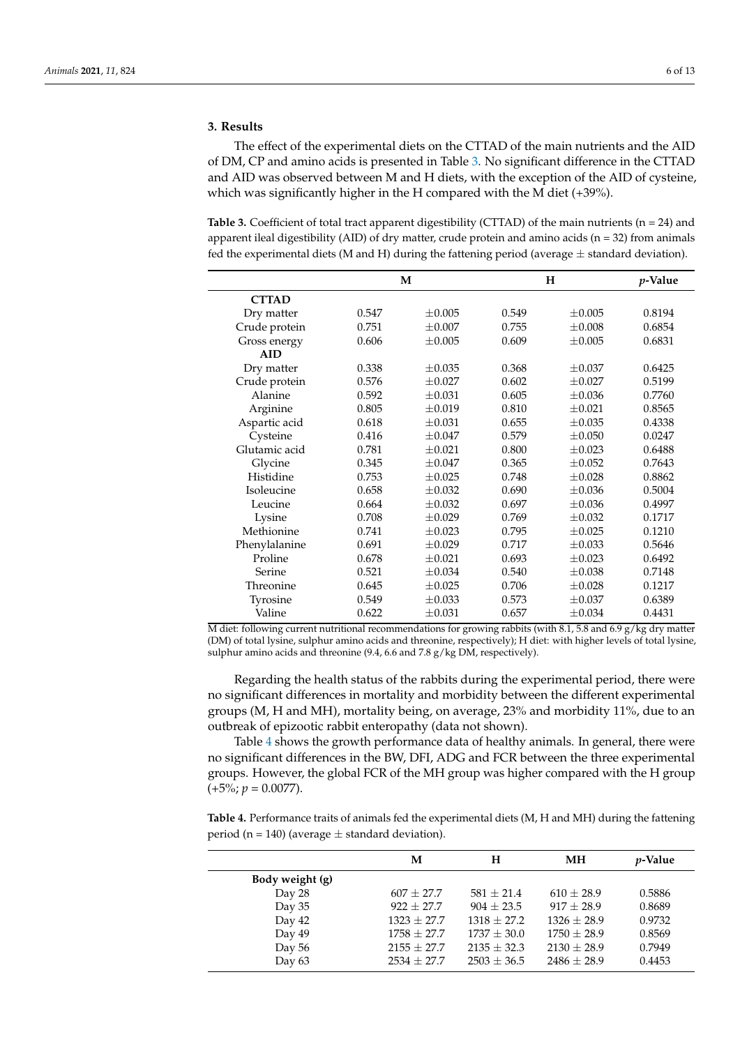The effect of the experimental diets on the CTTAD of the main nutrients and the AID of DM, CP and amino acids is presented in Table [3.](#page-5-0) No significant difference in the CTTAD and AID was observed between M and H diets, with the exception of the AID of cysteine, which was significantly higher in the H compared with the M diet (+39%).

<span id="page-5-0"></span>**Table 3.** Coefficient of total tract apparent digestibility (CTTAD) of the main nutrients ( $n = 24$ ) and apparent ileal digestibility (AID) of dry matter, crude protein and amino acids ( $n = 32$ ) from animals fed the experimental diets (M and H) during the fattening period (average  $\pm$  standard deviation).

|               | M     |             |       | н           |        |  |
|---------------|-------|-------------|-------|-------------|--------|--|
| <b>CTTAD</b>  |       |             |       |             |        |  |
| Dry matter    | 0.547 | $+0.005$    | 0.549 | $\pm 0.005$ | 0.8194 |  |
| Crude protein | 0.751 | $+0.007$    | 0.755 | $\pm 0.008$ | 0.6854 |  |
| Gross energy  | 0.606 | $\pm 0.005$ | 0.609 | $\pm 0.005$ | 0.6831 |  |
| <b>AID</b>    |       |             |       |             |        |  |
| Dry matter    | 0.338 | $+0.035$    | 0.368 | $\pm 0.037$ | 0.6425 |  |
| Crude protein | 0.576 | ±0.027      | 0.602 | $\pm 0.027$ | 0.5199 |  |
| Alanine       | 0.592 | $+0.031$    | 0.605 | $+0.036$    | 0.7760 |  |
| Arginine      | 0.805 | $\pm 0.019$ | 0.810 | ±0.021      | 0.8565 |  |
| Aspartic acid | 0.618 | $+0.031$    | 0.655 | $\pm 0.035$ | 0.4338 |  |
| Cysteine      | 0.416 | $\pm 0.047$ | 0.579 | ±0.050      | 0.0247 |  |
| Glutamic acid | 0.781 | $+0.021$    | 0.800 | $\pm 0.023$ | 0.6488 |  |
| Glycine       | 0.345 | $+0.047$    | 0.365 | $+0.052$    | 0.7643 |  |
| Histidine     | 0.753 | ±0.025      | 0.748 | $\pm 0.028$ | 0.8862 |  |
| Isoleucine    | 0.658 | $+0.032$    | 0.690 | $\pm 0.036$ | 0.5004 |  |
| Leucine       | 0.664 | ±0.032      | 0.697 | ±0.036      | 0.4997 |  |
| Lysine        | 0.708 | $\pm 0.029$ | 0.769 | $\pm 0.032$ | 0.1717 |  |
| Methionine    | 0.741 | $+0.023$    | 0.795 | ±0.025      | 0.1210 |  |
| Phenylalanine | 0.691 | $\pm 0.029$ | 0.717 | $\pm 0.033$ | 0.5646 |  |
| Proline       | 0.678 | ±0.021      | 0.693 | $\pm 0.023$ | 0.6492 |  |
| Serine        | 0.521 | $+0.034$    | 0.540 | $\pm 0.038$ | 0.7148 |  |
| Threonine     | 0.645 | ±0.025      | 0.706 | ±0.028      | 0.1217 |  |
| Tyrosine      | 0.549 | $\pm 0.033$ | 0.573 | $\pm 0.037$ | 0.6389 |  |
| Valine        | 0.622 | $\pm 0.031$ | 0.657 | $\pm 0.034$ | 0.4431 |  |

M diet: following current nutritional recommendations for growing rabbits (with 8.1, 5.8 and 6.9  $g/kg$  dry matter (DM) of total lysine, sulphur amino acids and threonine, respectively); H diet: with higher levels of total lysine, sulphur amino acids and threonine (9.4, 6.6 and 7.8 g/kg DM, respectively).

Regarding the health status of the rabbits during the experimental period, there were no significant differences in mortality and morbidity between the different experimental groups (M, H and MH), mortality being, on average, 23% and morbidity 11%, due to an outbreak of epizootic rabbit enteropathy (data not shown).

Table [4](#page-5-1) shows the growth performance data of healthy animals. In general, there were no significant differences in the BW, DFI, ADG and FCR between the three experimental groups. However, the global FCR of the MH group was higher compared with the H group  $(+5\%; p = 0.0077).$ 

<span id="page-5-1"></span>**Table 4.** Performance traits of animals fed the experimental diets (M, H and MH) during the fattening period (n = 140) (average  $\pm$  standard deviation).

|                 | М               | Н               | MН              | <i>v</i> -Value |
|-----------------|-----------------|-----------------|-----------------|-----------------|
| Body weight (g) |                 |                 |                 |                 |
| Day 28          | $607 + 27.7$    | $581 + 21.4$    | $610 + 28.9$    | 0.5886          |
| Day $35$        | $922 + 27.7$    | $904 + 23.5$    | $917 + 28.9$    | 0.8689          |
| Day 42          | $1323 + 27.7$   | $1318 + 27.2$   | $1326 + 28.9$   | 0.9732          |
| Day 49          | $1758 + 27.7$   | $1737 \pm 30.0$ | $1750 + 28.9$   | 0.8569          |
| Day 56          | $2155 \pm 27.7$ | $2135 \pm 32.3$ | $2130 \pm 28.9$ | 0.7949          |
| Day 63          | $2534 \pm 27.7$ | $2503 \pm 36.5$ | $2486 + 28.9$   | 0.4453          |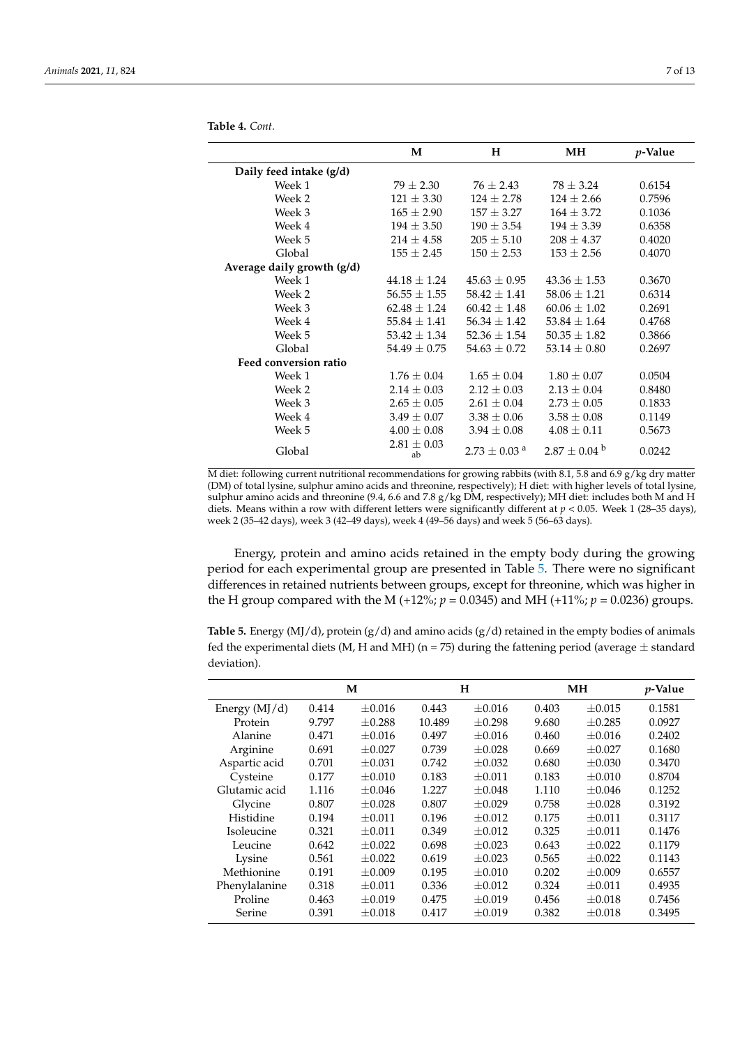**Table 4.** *Cont.*

|                            | M                     | н                            | MН                | <i>p</i> -Value |
|----------------------------|-----------------------|------------------------------|-------------------|-----------------|
| Daily feed intake (g/d)    |                       |                              |                   |                 |
| Week 1                     | $79 \pm 2.30$         | $76 \pm 2.43$                | $78 \pm 3.24$     | 0.6154          |
| Week 2                     | $121 \pm 3.30$        | $124 \pm 2.78$               | $124 \pm 2.66$    | 0.7596          |
| Week 3                     | $165 \pm 2.90$        | $157 \pm 3.27$               | $164 \pm 3.72$    | 0.1036          |
| Week 4                     | $194 \pm 3.50$        | $190 \pm 3.54$               | $194 \pm 3.39$    | 0.6358          |
| Week 5                     | $214 \pm 4.58$        | $205 \pm 5.10$               | $208 \pm 4.37$    | 0.4020          |
| Global                     | $155 \pm 2.45$        | $150 \pm 2.53$               | $153 \pm 2.56$    | 0.4070          |
| Average daily growth (g/d) |                       |                              |                   |                 |
| Week 1                     | $44.18 \pm 1.24$      | $45.63 \pm 0.95$             | $43.36 \pm 1.53$  | 0.3670          |
| Week 2                     | $56.55 \pm 1.55$      | $58.42 \pm 1.41$             | $58.06 \pm 1.21$  | 0.6314          |
| Week 3                     | $62.48 \pm 1.24$      | $60.42 \pm 1.48$             | $60.06 \pm 1.02$  | 0.2691          |
| Week 4                     | $55.84 \pm 1.41$      | $56.34 \pm 1.42$             | $53.84 \pm 1.64$  | 0.4768          |
| Week 5                     | $53.42 \pm 1.34$      | $52.36 \pm 1.54$             | $50.35 \pm 1.82$  | 0.3866          |
| Global                     | $54.49 \pm 0.75$      | $54.63 \pm 0.72$             | $53.14 \pm 0.80$  | 0.2697          |
| Feed conversion ratio      |                       |                              |                   |                 |
| Week 1                     | $1.76 \pm 0.04$       | $1.65 \pm 0.04$              | $1.80 \pm 0.07$   | 0.0504          |
| Week 2                     | $2.14 \pm 0.03$       | $2.12 \pm 0.03$              | $2.13 \pm 0.04$   | 0.8480          |
| Week 3                     | $2.65 \pm 0.05$       | $2.61 \pm 0.04$              | $2.73 \pm 0.05$   | 0.1833          |
| Week 4                     | $3.49 \pm 0.07$       | $3.38 \pm 0.06$              | $3.58 \pm 0.08$   | 0.1149          |
| Week 5                     | $4.00 \pm 0.08$       | $3.94 \pm 0.08$              | $4.08 \pm 0.11$   | 0.5673          |
| Global                     | $2.81 \pm 0.03$<br>ab | $2.73 \pm 0.03$ <sup>a</sup> | $2.87 + 0.04^{b}$ | 0.0242          |

M diet: following current nutritional recommendations for growing rabbits (with 8.1, 5.8 and 6.9  $g/kg$  dry matter (DM) of total lysine, sulphur amino acids and threonine, respectively); H diet: with higher levels of total lysine, sulphur amino acids and threonine (9.4, 6.6 and 7.8 g/kg DM, respectively); MH diet: includes both M and H diets. Means within a row with different letters were significantly different at *p* < 0.05. Week 1 (28–35 days), week 2 (35–42 days), week 3 (42–49 days), week 4 (49–56 days) and week 5 (56–63 days).

Energy, protein and amino acids retained in the empty body during the growing period for each experimental group are presented in Table [5.](#page-6-0) There were no significant differences in retained nutrients between groups, except for threonine, which was higher in the H group compared with the M (+12%;  $p = 0.0345$ ) and MH (+11%;  $p = 0.0236$ ) groups.

<span id="page-6-0"></span>**Table 5.** Energy (MJ/d), protein (g/d) and amino acids (g/d) retained in the empty bodies of animals fed the experimental diets (M, H and MH) ( $n = 75$ ) during the fattening period (average  $\pm$  standard deviation).

|                 |       | M           | H      |             | MН    |             | <i>p</i> -Value |
|-----------------|-------|-------------|--------|-------------|-------|-------------|-----------------|
| Energy $(MJ/d)$ | 0.414 | $\pm 0.016$ | 0.443  | $\pm 0.016$ | 0.403 | $\pm 0.015$ | 0.1581          |
| Protein         | 9.797 | $\pm 0.288$ | 10.489 | $\pm 0.298$ | 9.680 | $\pm 0.285$ | 0.0927          |
| Alanine         | 0.471 | $\pm 0.016$ | 0.497  | $\pm 0.016$ | 0.460 | $\pm 0.016$ | 0.2402          |
| Arginine        | 0.691 | $\pm 0.027$ | 0.739  | $\pm 0.028$ | 0.669 | $\pm 0.027$ | 0.1680          |
| Aspartic acid   | 0.701 | $\pm 0.031$ | 0.742  | $\pm 0.032$ | 0.680 | $\pm 0.030$ | 0.3470          |
| Cysteine        | 0.177 | $\pm 0.010$ | 0.183  | $\pm 0.011$ | 0.183 | $\pm 0.010$ | 0.8704          |
| Glutamic acid   | 1.116 | $\pm 0.046$ | 1.227  | $\pm 0.048$ | 1.110 | $\pm 0.046$ | 0.1252          |
| Glycine         | 0.807 | $\pm 0.028$ | 0.807  | $+0.029$    | 0.758 | $+0.028$    | 0.3192          |
| Histidine       | 0.194 | $\pm 0.011$ | 0.196  | $+0.012$    | 0.175 | $+0.011$    | 0.3117          |
| Isoleucine      | 0.321 | $\pm 0.011$ | 0.349  | $\pm 0.012$ | 0.325 | $+0.011$    | 0.1476          |
| Leucine         | 0.642 | $\pm 0.022$ | 0.698  | $\pm 0.023$ | 0.643 | $\pm 0.022$ | 0.1179          |
| Lysine          | 0.561 | $\pm 0.022$ | 0.619  | $\pm 0.023$ | 0.565 | $\pm 0.022$ | 0.1143          |
| Methionine      | 0.191 | $\pm 0.009$ | 0.195  | $\pm 0.010$ | 0.202 | $\pm 0.009$ | 0.6557          |
| Phenylalanine   | 0.318 | $\pm 0.011$ | 0.336  | $\pm 0.012$ | 0.324 | $\pm 0.011$ | 0.4935          |
| Proline         | 0.463 | $\pm 0.019$ | 0.475  | $\pm 0.019$ | 0.456 | $\pm 0.018$ | 0.7456          |
| Serine          | 0.391 | $\pm 0.018$ | 0.417  | $\pm 0.019$ | 0.382 | $\pm 0.018$ | 0.3495          |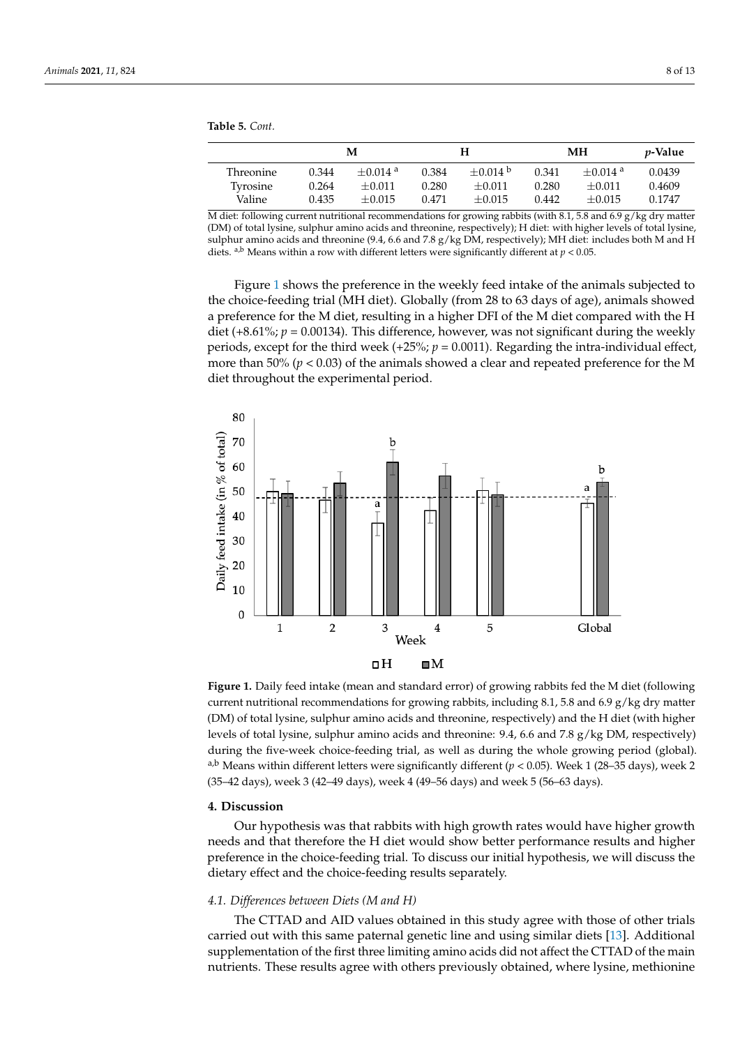**Table 5.** *Cont.*

|                  |       | м                     |       | Н          |       | MН                    | <i>p</i> -Value |
|------------------|-------|-----------------------|-------|------------|-------|-----------------------|-----------------|
| <b>Threonine</b> | 0.344 | $+0.014$ <sup>a</sup> | 0.384 | $+0.014$ b | 0.341 | $+0.014$ <sup>a</sup> | 0.0439          |
| Tyrosine         | 0.264 | $+0.011$              | 0.280 | $+0.011$   | 0.280 | $+0.011$              | 0.4609          |
| Valine           | 0.435 | $+0.015$              | 0.471 | $+0.015$   | 0.442 | $+0.015$              | 0.1747          |

M diet: following current nutritional recommendations for growing rabbits (with 8.1, 5.8 and 6.9  $g/kg$  dry matter (DM) of total lysine, sulphur amino acids and threonine, respectively); H diet: with higher levels of total lysine, sulphur amino acids and threonine (9.4, 6.6 and 7.8 g/kg DM, respectively); MH diet: includes both M and H diets.  $a,b$  Means within a row with different letters were significantly different at  $p < 0.05$ .

Figure [1](#page-7-0) shows the preference in the weekly feed intake of the animals subjected to the choice-feeding trial (MH diet). Globally (from 28 to 63 days of age), animals showed a preference for the M diet, resulting in a higher DFI of the M diet compared with the H diet (+8.61%; *p* = 0.00134). This difference, however, was not significant during the weekly periods, except for the third week  $(+25\%)$ ;  $p = 0.0011$ ). Regarding the intra-individual effect, more than 50% ( $p < 0.03$ ) of the animals showed a clear and repeated preference for the M diet throughout the experimental period.

<span id="page-7-0"></span>

current nutritional recommendations for growing rabbits, including 8.1, 5.8 and 6.9 g/kg dry matter (DM) of total lysine, sulphur amino acids and threonine, respectively) and the H diet (with higher  $\frac{1}{\sqrt{2}}$ levels of total lysine, sulphur amino acids and threonine: 9.4, 6.6 and 7.8  $g/kg$  DM, respectively) during the five-week choice-feeding trial, as well as during the whole growing period (global). <sup>a,b</sup> Means within different letters were significantly different ( $p$  < 0.05). Week 1 (28–35 days), week 2 days), week 2 (35–42 days), week 3 (42–49 days), week 4 (49–56 days) and week 5 (56–63 days). (35–42 days), week 3 (42–49 days), week 4 (49–56 days) and week 5 (56–63 days). **Figure 1.** Daily feed intake (mean and standard error) of growing rabbits fed the M diet (following

# **4. Discussion 4. Discussion**

Our hypothesis was that rabbits with high growth rates would have higher growth needs and that therefore the H diet would show better performance results and higher equal to the H diet would show better performance results and higher preference in the choice-feeding trial. To discuss our initial hypothesis, we will discuss the<br>distance of sales in the choice feeding months concentries dietary effect and the choice-feeding results separately. dietary effect and the choice-feeding results separately. Our hypothesis was that rabbits with high growth rates would have higher growth

#### *4.1. Differences between Diets (M and H) 4.1. Differences between Diets (M and H)*

carried out with this same paternal genetic line and using similar diets [\[13\]](#page-10-9). Additional supplementation of the first three limiting amino acids did not affect the CTTAD of the main nutrients. These results agree with others previously obtained, where lysine, methionine The CTTAD and AID values obtained in this study agree with those of other trials

main nutrients. These results agree with others previously obtained, where lysine, methi-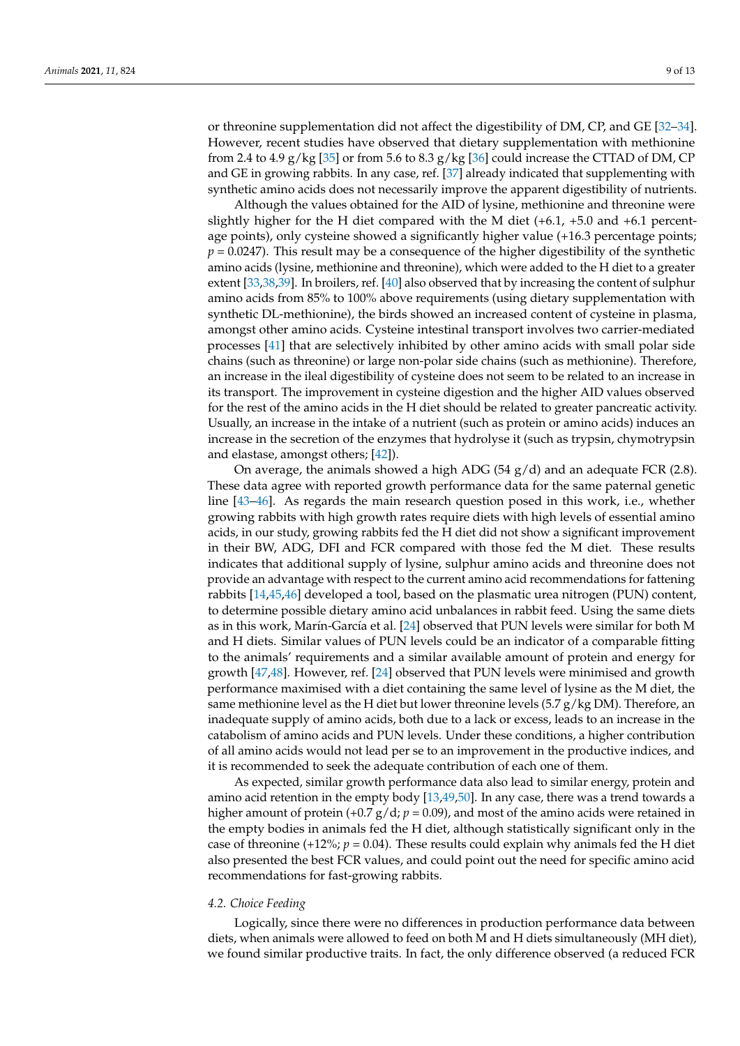or threonine supplementation did not affect the digestibility of DM, CP, and GE [\[32](#page-11-12)[–34\]](#page-11-13). However, recent studies have observed that dietary supplementation with methionine from 2.4 to 4.9 g/kg [\[35\]](#page-11-14) or from 5.6 to 8.3 g/kg [\[36\]](#page-11-15) could increase the CTTAD of DM, CP and GE in growing rabbits. In any case, ref. [\[37\]](#page-11-16) already indicated that supplementing with synthetic amino acids does not necessarily improve the apparent digestibility of nutrients.

Although the values obtained for the AID of lysine, methionine and threonine were slightly higher for the H diet compared with the M diet (+6.1, +5.0 and +6.1 percentage points), only cysteine showed a significantly higher value (+16.3 percentage points;  $p = 0.0247$ ). This result may be a consequence of the higher digestibility of the synthetic amino acids (lysine, methionine and threonine), which were added to the H diet to a greater extent [\[33](#page-11-17)[,38](#page-11-18)[,39\]](#page-11-19). In broilers, ref. [\[40\]](#page-11-20) also observed that by increasing the content of sulphur amino acids from 85% to 100% above requirements (using dietary supplementation with synthetic DL-methionine), the birds showed an increased content of cysteine in plasma, amongst other amino acids. Cysteine intestinal transport involves two carrier-mediated processes [\[41\]](#page-11-21) that are selectively inhibited by other amino acids with small polar side chains (such as threonine) or large non-polar side chains (such as methionine). Therefore, an increase in the ileal digestibility of cysteine does not seem to be related to an increase in its transport. The improvement in cysteine digestion and the higher AID values observed for the rest of the amino acids in the H diet should be related to greater pancreatic activity. Usually, an increase in the intake of a nutrient (such as protein or amino acids) induces an increase in the secretion of the enzymes that hydrolyse it (such as trypsin, chymotrypsin and elastase, amongst others; [\[42\]](#page-11-22)).

On average, the animals showed a high ADG (54  $g/d$ ) and an adequate FCR (2.8). These data agree with reported growth performance data for the same paternal genetic line [\[43–](#page-11-23)[46\]](#page-11-24). As regards the main research question posed in this work, i.e., whether growing rabbits with high growth rates require diets with high levels of essential amino acids, in our study, growing rabbits fed the H diet did not show a significant improvement in their BW, ADG, DFI and FCR compared with those fed the M diet. These results indicates that additional supply of lysine, sulphur amino acids and threonine does not provide an advantage with respect to the current amino acid recommendations for fattening rabbits [\[14,](#page-10-10)[45,](#page-11-25)[46\]](#page-11-24) developed a tool, based on the plasmatic urea nitrogen (PUN) content, to determine possible dietary amino acid unbalances in rabbit feed. Using the same diets as in this work, Marín-García et al. [\[24\]](#page-11-4) observed that PUN levels were similar for both M and H diets. Similar values of PUN levels could be an indicator of a comparable fitting to the animals' requirements and a similar available amount of protein and energy for growth [\[47](#page-11-26)[,48\]](#page-11-27). However, ref. [\[24\]](#page-11-4) observed that PUN levels were minimised and growth performance maximised with a diet containing the same level of lysine as the M diet, the same methionine level as the H diet but lower threonine levels  $(5.7 g/kg DM)$ . Therefore, an inadequate supply of amino acids, both due to a lack or excess, leads to an increase in the catabolism of amino acids and PUN levels. Under these conditions, a higher contribution of all amino acids would not lead per se to an improvement in the productive indices, and it is recommended to seek the adequate contribution of each one of them.

As expected, similar growth performance data also lead to similar energy, protein and amino acid retention in the empty body [\[13,](#page-10-9)[49](#page-12-0)[,50\]](#page-12-1). In any case, there was a trend towards a higher amount of protein  $(+0.7 \text{ g}/\text{d}; p = 0.09)$ , and most of the amino acids were retained in the empty bodies in animals fed the H diet, although statistically significant only in the case of threonine  $(+12\%)$ ;  $p = 0.04$ ). These results could explain why animals fed the H diet also presented the best FCR values, and could point out the need for specific amino acid recommendations for fast-growing rabbits.

#### *4.2. Choice Feeding*

Logically, since there were no differences in production performance data between diets, when animals were allowed to feed on both M and H diets simultaneously (MH diet), we found similar productive traits. In fact, the only difference observed (a reduced FCR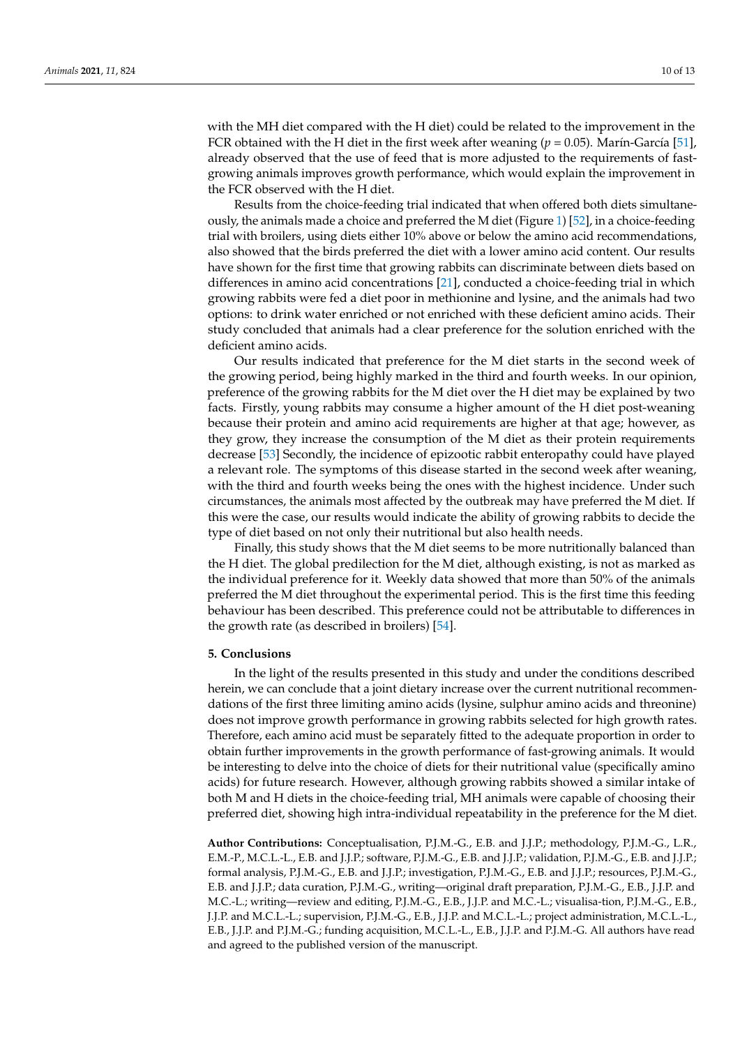with the MH diet compared with the H diet) could be related to the improvement in the FCR obtained with the H diet in the first week after weaning ( $p = 0.05$ ). Marín-García [\[51\]](#page-12-2), already observed that the use of feed that is more adjusted to the requirements of fastgrowing animals improves growth performance, which would explain the improvement in the FCR observed with the H diet.

Results from the choice-feeding trial indicated that when offered both diets simultaneously, the animals made a choice and preferred the M diet (Figure [1\)](#page-7-0) [\[52\]](#page-12-3), in a choice-feeding trial with broilers, using diets either 10% above or below the amino acid recommendations, also showed that the birds preferred the diet with a lower amino acid content. Our results have shown for the first time that growing rabbits can discriminate between diets based on differences in amino acid concentrations [\[21\]](#page-11-1), conducted a choice-feeding trial in which growing rabbits were fed a diet poor in methionine and lysine, and the animals had two options: to drink water enriched or not enriched with these deficient amino acids. Their study concluded that animals had a clear preference for the solution enriched with the deficient amino acids.

Our results indicated that preference for the M diet starts in the second week of the growing period, being highly marked in the third and fourth weeks. In our opinion, preference of the growing rabbits for the M diet over the H diet may be explained by two facts. Firstly, young rabbits may consume a higher amount of the H diet post-weaning because their protein and amino acid requirements are higher at that age; however, as they grow, they increase the consumption of the M diet as their protein requirements decrease [\[53\]](#page-12-4) Secondly, the incidence of epizootic rabbit enteropathy could have played a relevant role. The symptoms of this disease started in the second week after weaning, with the third and fourth weeks being the ones with the highest incidence. Under such circumstances, the animals most affected by the outbreak may have preferred the M diet. If this were the case, our results would indicate the ability of growing rabbits to decide the type of diet based on not only their nutritional but also health needs.

Finally, this study shows that the M diet seems to be more nutritionally balanced than the H diet. The global predilection for the M diet, although existing, is not as marked as the individual preference for it. Weekly data showed that more than 50% of the animals preferred the M diet throughout the experimental period. This is the first time this feeding behaviour has been described. This preference could not be attributable to differences in the growth rate (as described in broilers) [\[54\]](#page-12-5).

### **5. Conclusions**

In the light of the results presented in this study and under the conditions described herein, we can conclude that a joint dietary increase over the current nutritional recommendations of the first three limiting amino acids (lysine, sulphur amino acids and threonine) does not improve growth performance in growing rabbits selected for high growth rates. Therefore, each amino acid must be separately fitted to the adequate proportion in order to obtain further improvements in the growth performance of fast-growing animals. It would be interesting to delve into the choice of diets for their nutritional value (specifically amino acids) for future research. However, although growing rabbits showed a similar intake of both M and H diets in the choice-feeding trial, MH animals were capable of choosing their preferred diet, showing high intra-individual repeatability in the preference for the M diet.

**Author Contributions:** Conceptualisation, P.J.M.-G., E.B. and J.J.P.; methodology, P.J.M.-G., L.R., E.M.-P., M.C.L.-L., E.B. and J.J.P.; software, P.J.M.-G., E.B. and J.J.P.; validation, P.J.M.-G., E.B. and J.J.P.; formal analysis, P.J.M.-G., E.B. and J.J.P.; investigation, P.J.M.-G., E.B. and J.J.P.; resources, P.J.M.-G., E.B. and J.J.P.; data curation, P.J.M.-G., writing—original draft preparation, P.J.M.-G., E.B., J.J.P. and M.C.-L.; writing—review and editing, P.J.M.-G., E.B., J.J.P. and M.C.-L.; visualisa-tion, P.J.M.-G., E.B., J.J.P. and M.C.L.-L.; supervision, P.J.M.-G., E.B., J.J.P. and M.C.L.-L.; project administration, M.C.L.-L., E.B., J.J.P. and P.J.M.-G.; funding acquisition, M.C.L.-L., E.B., J.J.P. and P.J.M.-G. All authors have read and agreed to the published version of the manuscript.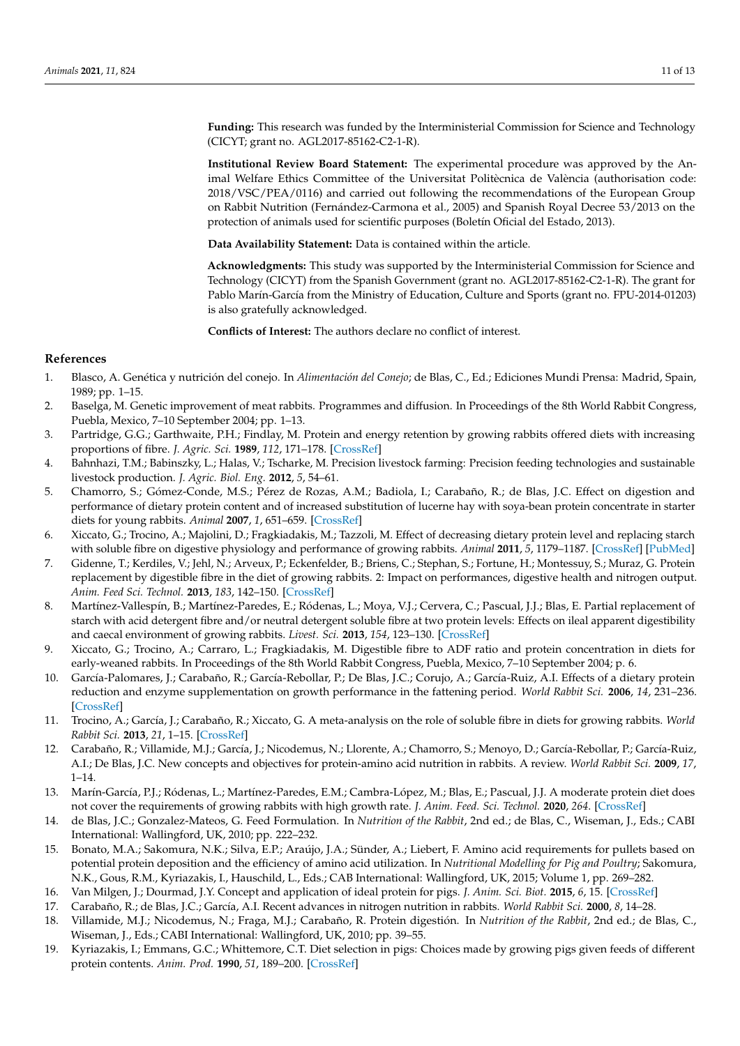**Funding:** This research was funded by the Interministerial Commission for Science and Technology (CICYT; grant no. AGL2017-85162-C2-1-R).

**Institutional Review Board Statement:** The experimental procedure was approved by the Animal Welfare Ethics Committee of the Universitat Politècnica de València (authorisation code: 2018/VSC/PEA/0116) and carried out following the recommendations of the European Group on Rabbit Nutrition (Fernández-Carmona et al., 2005) and Spanish Royal Decree 53/2013 on the protection of animals used for scientific purposes (Boletín Oficial del Estado, 2013).

**Data Availability Statement:** Data is contained within the article.

**Acknowledgments:** This study was supported by the Interministerial Commission for Science and Technology (CICYT) from the Spanish Government (grant no. AGL2017-85162-C2-1-R). The grant for Pablo Marín-García from the Ministry of Education, Culture and Sports (grant no. FPU-2014-01203) is also gratefully acknowledged.

**Conflicts of Interest:** The authors declare no conflict of interest.

## **References**

- <span id="page-10-0"></span>1. Blasco, A. Genética y nutrición del conejo. In *Alimentación del Conejo*; de Blas, C., Ed.; Ediciones Mundi Prensa: Madrid, Spain, 1989; pp. 1–15.
- <span id="page-10-1"></span>2. Baselga, M. Genetic improvement of meat rabbits. Programmes and diffusion. In Proceedings of the 8th World Rabbit Congress, Puebla, Mexico, 7–10 September 2004; pp. 1–13.
- <span id="page-10-2"></span>3. Partridge, G.G.; Garthwaite, P.H.; Findlay, M. Protein and energy retention by growing rabbits offered diets with increasing proportions of fibre. *J. Agric. Sci.* **1989**, *112*, 171–178. [\[CrossRef\]](http://doi.org/10.1017/S0021859600085063)
- <span id="page-10-3"></span>4. Bahnhazi, T.M.; Babinszky, L.; Halas, V.; Tscharke, M. Precision livestock farming: Precision feeding technologies and sustainable livestock production. *J. Agric. Biol. Eng.* **2012**, *5*, 54–61.
- <span id="page-10-4"></span>5. Chamorro, S.; Gómez-Conde, M.S.; Pérez de Rozas, A.M.; Badiola, I.; Carabaño, R.; de Blas, J.C. Effect on digestion and performance of dietary protein content and of increased substitution of lucerne hay with soya-bean protein concentrate in starter diets for young rabbits. *Animal* **2007**, *1*, 651–659. [\[CrossRef\]](http://doi.org/10.1017/S1751731107708273)
- 6. Xiccato, G.; Trocino, A.; Majolini, D.; Fragkiadakis, M.; Tazzoli, M. Effect of decreasing dietary protein level and replacing starch with soluble fibre on digestive physiology and performance of growing rabbits. *Animal* **2011**, *5*, 1179–1187. [\[CrossRef\]](http://doi.org/10.1017/S1751731111000243) [\[PubMed\]](http://www.ncbi.nlm.nih.gov/pubmed/22440170)
- 7. Gidenne, T.; Kerdiles, V.; Jehl, N.; Arveux, P.; Eckenfelder, B.; Briens, C.; Stephan, S.; Fortune, H.; Montessuy, S.; Muraz, G. Protein replacement by digestible fibre in the diet of growing rabbits. 2: Impact on performances, digestive health and nitrogen output. *Anim. Feed Sci. Technol.* **2013**, *183*, 142–150. [\[CrossRef\]](http://doi.org/10.1016/j.anifeedsci.2013.03.013)
- <span id="page-10-5"></span>8. Martínez-Vallespín, B.; Martínez-Paredes, E.; Ródenas, L.; Moya, V.J.; Cervera, C.; Pascual, J.J.; Blas, E. Partial replacement of starch with acid detergent fibre and/or neutral detergent soluble fibre at two protein levels: Effects on ileal apparent digestibility and caecal environment of growing rabbits. *Livest. Sci.* **2013**, *154*, 123–130. [\[CrossRef\]](http://doi.org/10.1016/j.livsci.2013.02.012)
- <span id="page-10-6"></span>9. Xiccato, G.; Trocino, A.; Carraro, L.; Fragkiadakis, M. Digestible fibre to ADF ratio and protein concentration in diets for early-weaned rabbits. In Proceedings of the 8th World Rabbit Congress, Puebla, Mexico, 7-10 September 2004; p. 6.
- 10. García-Palomares, J.; Carabaño, R.; García-Rebollar, P.; De Blas, J.C.; Corujo, A.; García-Ruiz, A.I. Effects of a dietary protein reduction and enzyme supplementation on growth performance in the fattening period. *World Rabbit Sci.* **2006**, *14*, 231–236. [\[CrossRef\]](http://doi.org/10.4995/wrs.2006.564)
- <span id="page-10-7"></span>11. Trocino, A.; García, J.; Carabaño, R.; Xiccato, G. A meta-analysis on the role of soluble fibre in diets for growing rabbits. *World Rabbit Sci.* **2013**, *21*, 1–15. [\[CrossRef\]](http://doi.org/10.4995/wrs.2013.1285)
- <span id="page-10-8"></span>12. Carabaño, R.; Villamide, M.J.; García, J.; Nicodemus, N.; Llorente, A.; Chamorro, S.; Menoyo, D.; García-Rebollar, P.; García-Ruiz, A.I.; De Blas, J.C. New concepts and objectives for protein-amino acid nutrition in rabbits. A review. *World Rabbit Sci.* **2009**, *17*, 1–14.
- <span id="page-10-9"></span>13. Marín-García, P.J.; Ródenas, L.; Martínez-Paredes, E.M.; Cambra-López, M.; Blas, E.; Pascual, J.J. A moderate protein diet does not cover the requirements of growing rabbits with high growth rate. *J. Anim. Feed. Sci. Technol.* **2020**, *264*. [\[CrossRef\]](http://doi.org/10.1016/j.anifeedsci.2020.114495)
- <span id="page-10-10"></span>14. de Blas, J.C.; Gonzalez-Mateos, G. Feed Formulation. In *Nutrition of the Rabbit*, 2nd ed.; de Blas, C., Wiseman, J., Eds.; CABI International: Wallingford, UK, 2010; pp. 222–232.
- 15. Bonato, M.A.; Sakomura, N.K.; Silva, E.P.; Araújo, J.A.; Sünder, A.; Liebert, F. Amino acid requirements for pullets based on potential protein deposition and the efficiency of amino acid utilization. In *Nutritional Modelling for Pig and Poultry*; Sakomura, N.K., Gous, R.M., Kyriazakis, I., Hauschild, L., Eds.; CAB International: Wallingford, UK, 2015; Volume 1, pp. 269–282.
- <span id="page-10-11"></span>16. Van Milgen, J.; Dourmad, J.Y. Concept and application of ideal protein for pigs. *J. Anim. Sci. Biot.* **2015**, *6*, 15. [\[CrossRef\]](http://doi.org/10.1186/s40104-015-0016-1)
- <span id="page-10-12"></span>17. Carabaño, R.; de Blas, J.C.; García, A.I. Recent advances in nitrogen nutrition in rabbits. *World Rabbit Sci.* **2000**, *8*, 14–28.
- <span id="page-10-13"></span>18. Villamide, M.J.; Nicodemus, N.; Fraga, M.J.; Carabaño, R. Protein digestión. In *Nutrition of the Rabbit*, 2nd ed.; de Blas, C., Wiseman, J., Eds.; CABI International: Wallingford, UK, 2010; pp. 39–55.
- <span id="page-10-14"></span>19. Kyriazakis, I.; Emmans, G.C.; Whittemore, C.T. Diet selection in pigs: Choices made by growing pigs given feeds of different protein contents. *Anim. Prod.* **1990**, *51*, 189–200. [\[CrossRef\]](http://doi.org/10.1017/S0003356100005298)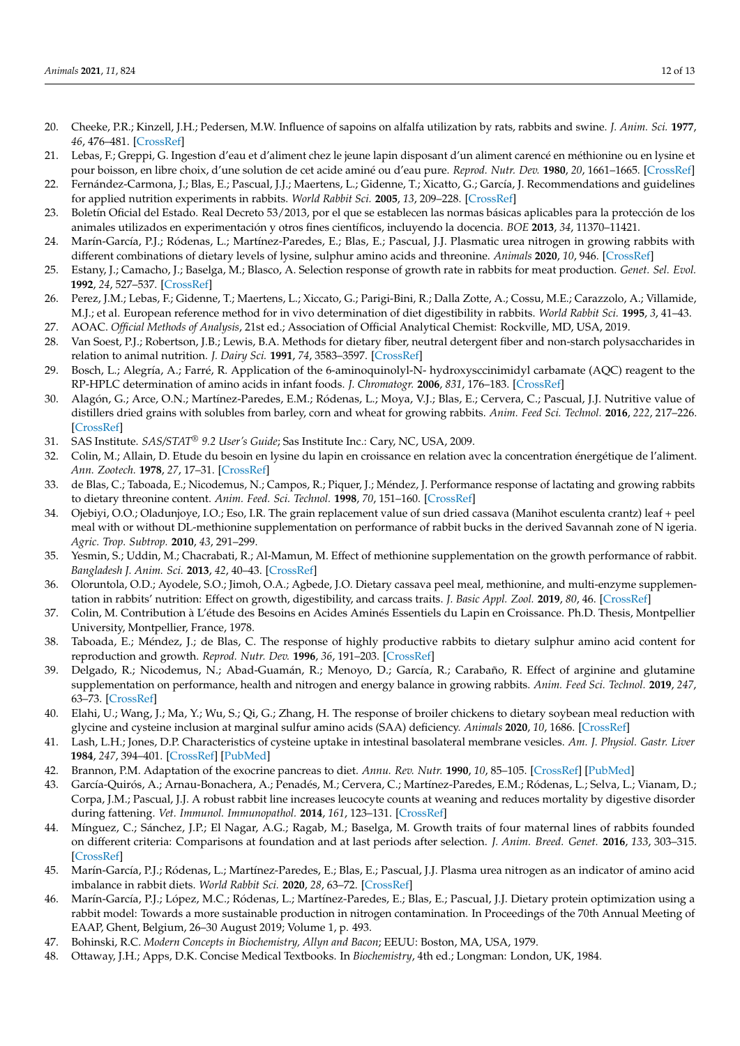- <span id="page-11-0"></span>20. Cheeke, P.R.; Kinzell, J.H.; Pedersen, M.W. Influence of sapoins on alfalfa utilization by rats, rabbits and swine. *J. Anim. Sci.* **1977**, *46*, 476–481. [\[CrossRef\]](http://doi.org/10.2527/jas1977.453476x)
- <span id="page-11-1"></span>21. Lebas, F.; Greppi, G. Ingestion d'eau et d'aliment chez le jeune lapin disposant d'un aliment carencé en méthionine ou en lysine et pour boisson, en libre choix, d'une solution de cet acide aminé ou d'eau pure. *Reprod. Nutr. Dev.* **1980**, *20*, 1661–1665. [\[CrossRef\]](http://doi.org/10.1051/rnd:19800910)
- <span id="page-11-2"></span>22. Fernández-Carmona, J.; Blas, E.; Pascual, J.J.; Maertens, L.; Gidenne, T.; Xicatto, G.; García, J. Recommendations and guidelines for applied nutrition experiments in rabbits. *World Rabbit Sci.* **2005**, *13*, 209–228. [\[CrossRef\]](http://doi.org/10.4995/wrs.2005.516)
- <span id="page-11-3"></span>23. Boletín Oficial del Estado. Real Decreto 53/2013, por el que se establecen las normas básicas aplicables para la protección de los animales utilizados en experimentación y otros fines científicos, incluyendo la docencia. *BOE* **2013**, *34*, 11370–11421.
- <span id="page-11-4"></span>24. Marín-García, P.J.; Ródenas, L.; Martínez-Paredes, E.; Blas, E.; Pascual, J.J. Plasmatic urea nitrogen in growing rabbits with different combinations of dietary levels of lysine, sulphur amino acids and threonine. *Animals* **2020**, *10*, 946. [\[CrossRef\]](http://doi.org/10.3390/ani10060946)
- <span id="page-11-5"></span>25. Estany, J.; Camacho, J.; Baselga, M.; Blasco, A. Selection response of growth rate in rabbits for meat production. *Genet. Sel. Evol.* **1992**, *24*, 527–537. [\[CrossRef\]](http://doi.org/10.1186/1297-9686-24-6-527)
- <span id="page-11-6"></span>26. Perez, J.M.; Lebas, F.; Gidenne, T.; Maertens, L.; Xiccato, G.; Parigi-Bini, R.; Dalla Zotte, A.; Cossu, M.E.; Carazzolo, A.; Villamide, M.J.; et al. European reference method for in vivo determination of diet digestibility in rabbits. *World Rabbit Sci.* **1995**, *3*, 41–43.
- <span id="page-11-7"></span>27. AOAC. *Official Methods of Analysis*, 21st ed.; Association of Official Analytical Chemist: Rockville, MD, USA, 2019.
- <span id="page-11-8"></span>28. Van Soest, P.J.; Robertson, J.B.; Lewis, B.A. Methods for dietary fiber, neutral detergent fiber and non-starch polysaccharides in relation to animal nutrition. *J. Dairy Sci.* **1991**, *74*, 3583–3597. [\[CrossRef\]](http://doi.org/10.3168/jds.S0022-0302(91)78551-2)
- <span id="page-11-9"></span>29. Bosch, L.; Alegría, A.; Farré, R. Application of the 6-aminoquinolyl-N- hydroxysccinimidyl carbamate (AQC) reagent to the RP-HPLC determination of amino acids in infant foods. *J. Chromatogr.* **2006**, *831*, 176–183. [\[CrossRef\]](http://doi.org/10.1016/j.jchromb.2005.12.002)
- <span id="page-11-10"></span>30. Alagón, G.; Arce, O.N.; Martínez-Paredes, E.M.; Ródenas, L.; Moya, V.J.; Blas, E.; Cervera, C.; Pascual, J.J. Nutritive value of distillers dried grains with solubles from barley, corn and wheat for growing rabbits. *Anim. Feed Sci. Technol.* **2016**, *222*, 217–226. [\[CrossRef\]](http://doi.org/10.1016/j.anifeedsci.2016.10.024)
- <span id="page-11-11"></span>31. SAS Institute. *SAS/STAT® 9.2 User's Guide*; Sas Institute Inc.: Cary, NC, USA, 2009.
- <span id="page-11-12"></span>32. Colin, M.; Allain, D. Etude du besoin en lysine du lapin en croissance en relation avec la concentration énergétique de l'aliment. *Ann. Zootech.* **1978**, *27*, 17–31. [\[CrossRef\]](http://doi.org/10.1051/animres:19780103)
- <span id="page-11-17"></span>33. de Blas, C.; Taboada, E.; Nicodemus, N.; Campos, R.; Piquer, J.; Méndez, J. Performance response of lactating and growing rabbits to dietary threonine content. *Anim. Feed. Sci. Technol.* **1998**, *70*, 151–160. [\[CrossRef\]](http://doi.org/10.1016/S0377-8401(97)00063-1)
- <span id="page-11-13"></span>34. Ojebiyi, O.O.; Oladunjoye, I.O.; Eso, I.R. The grain replacement value of sun dried cassava (Manihot esculenta crantz) leaf + peel meal with or without DL-methionine supplementation on performance of rabbit bucks in the derived Savannah zone of N igeria. *Agric. Trop. Subtrop.* **2010**, *43*, 291–299.
- <span id="page-11-14"></span>35. Yesmin, S.; Uddin, M.; Chacrabati, R.; Al-Mamun, M. Effect of methionine supplementation on the growth performance of rabbit. *Bangladesh J. Anim. Sci.* **2013**, *42*, 40–43. [\[CrossRef\]](http://doi.org/10.3329/bjas.v42i1.15777)
- <span id="page-11-15"></span>36. Oloruntola, O.D.; Ayodele, S.O.; Jimoh, O.A.; Agbede, J.O. Dietary cassava peel meal, methionine, and multi-enzyme supplementation in rabbits' nutrition: Effect on growth, digestibility, and carcass traits. *J. Basic Appl. Zool.* **2019**, *80*, 46. [\[CrossRef\]](http://doi.org/10.1186/s41936-019-0117-z)
- <span id="page-11-16"></span>37. Colin, M. Contribution à L'étude des Besoins en Acides Aminés Essentiels du Lapin en Croissance. Ph.D. Thesis, Montpellier University, Montpellier, France, 1978.
- <span id="page-11-18"></span>38. Taboada, E.; Méndez, J.; de Blas, C. The response of highly productive rabbits to dietary sulphur amino acid content for reproduction and growth. *Reprod. Nutr. Dev.* **1996**, *36*, 191–203. [\[CrossRef\]](http://doi.org/10.1051/rnd:19960204)
- <span id="page-11-19"></span>39. Delgado, R.; Nicodemus, N.; Abad-Guamán, R.; Menoyo, D.; García, R.; Carabaño, R. Effect of arginine and glutamine supplementation on performance, health and nitrogen and energy balance in growing rabbits. *Anim. Feed Sci. Technol.* **2019**, *247*, 63–73. [\[CrossRef\]](http://doi.org/10.1016/j.anifeedsci.2018.11.001)
- <span id="page-11-20"></span>40. Elahi, U.; Wang, J.; Ma, Y.; Wu, S.; Qi, G.; Zhang, H. The response of broiler chickens to dietary soybean meal reduction with glycine and cysteine inclusion at marginal sulfur amino acids (SAA) deficiency. *Animals* **2020**, *10*, 1686. [\[CrossRef\]](http://doi.org/10.3390/ani10091686)
- <span id="page-11-21"></span>41. Lash, L.H.; Jones, D.P. Characteristics of cysteine uptake in intestinal basolateral membrane vesicles. *Am. J. Physiol. Gastr. Liver* **1984**, *247*, 394–401. [\[CrossRef\]](http://doi.org/10.1152/ajpgi.1984.247.4.G394) [\[PubMed\]](http://www.ncbi.nlm.nih.gov/pubmed/6496678)
- <span id="page-11-22"></span>42. Brannon, P.M. Adaptation of the exocrine pancreas to diet. *Annu. Rev. Nutr.* **1990**, *10*, 85–105. [\[CrossRef\]](http://doi.org/10.1146/annurev.nu.10.070190.000505) [\[PubMed\]](http://www.ncbi.nlm.nih.gov/pubmed/2200477)
- <span id="page-11-23"></span>43. García-Quirós, A.; Arnau-Bonachera, A.; Penadés, M.; Cervera, C.; Martínez-Paredes, E.M.; Ródenas, L.; Selva, L.; Vianam, D.; Corpa, J.M.; Pascual, J.J. A robust rabbit line increases leucocyte counts at weaning and reduces mortality by digestive disorder during fattening. *Vet. Immunol. Immunopathol.* **2014**, *161*, 123–131. [\[CrossRef\]](http://doi.org/10.1016/j.vetimm.2014.07.005)
- 44. Mínguez, C.; Sánchez, J.P.; El Nagar, A.G.; Ragab, M.; Baselga, M. Growth traits of four maternal lines of rabbits founded on different criteria: Comparisons at foundation and at last periods after selection. *J. Anim. Breed. Genet.* **2016**, *133*, 303–315. [\[CrossRef\]](http://doi.org/10.1111/jbg.12197)
- <span id="page-11-25"></span>45. Marín-García, P.J.; Ródenas, L.; Martínez-Paredes, E.; Blas, E.; Pascual, J.J. Plasma urea nitrogen as an indicator of amino acid imbalance in rabbit diets. *World Rabbit Sci.* **2020**, *28*, 63–72. [\[CrossRef\]](http://doi.org/10.4995/wrs.2020.12781)
- <span id="page-11-24"></span>46. Marín-García, P.J.; López, M.C.; Ródenas, L.; Martínez-Paredes, E.; Blas, E.; Pascual, J.J. Dietary protein optimization using a rabbit model: Towards a more sustainable production in nitrogen contamination. In Proceedings of the 70th Annual Meeting of EAAP, Ghent, Belgium, 26–30 August 2019; Volume 1, p. 493.
- <span id="page-11-26"></span>47. Bohinski, R.C. *Modern Concepts in Biochemistry, Allyn and Bacon*; EEUU: Boston, MA, USA, 1979.
- <span id="page-11-27"></span>48. Ottaway, J.H.; Apps, D.K. Concise Medical Textbooks. In *Biochemistry*, 4th ed.; Longman: London, UK, 1984.